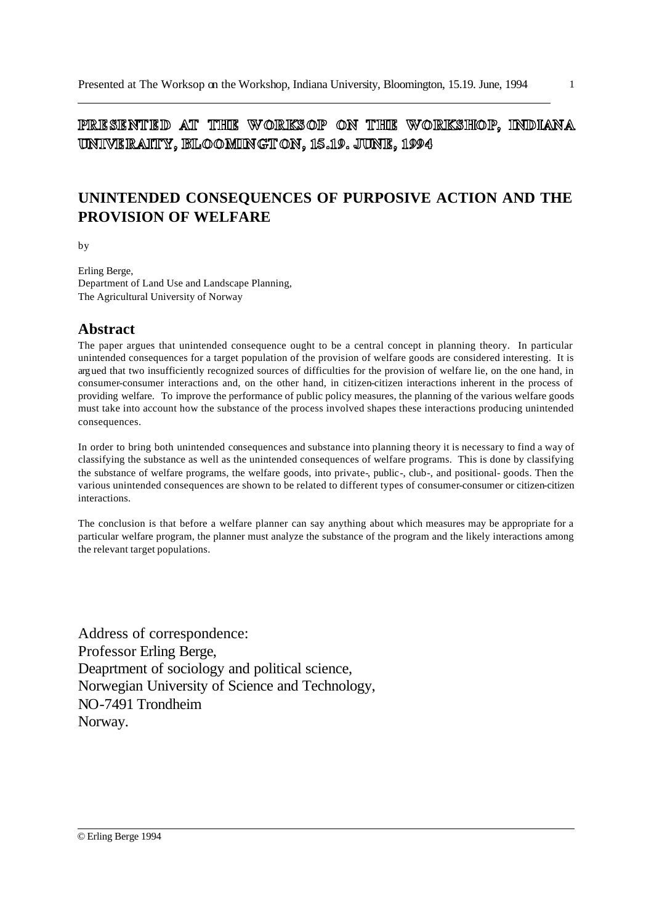PRESENTED AT THE WORKSOP ON THE WORKSHOP, INDIANA UNIVERAITY, BLOOMINGTON, 15.19. JUNE, 1994

# **UNINTENDED CONSEQUENCES OF PURPOSIVE ACTION AND THE PROVISION OF WELFARE**

by

Erling Berge, Department of Land Use and Landscape Planning, The Agricultural University of Norway

#### **Abstract**

The paper argues that unintended consequence ought to be a central concept in planning theory. In particular unintended consequences for a target population of the provision of welfare goods are considered interesting. It is argued that two insufficiently recognized sources of difficulties for the provision of welfare lie, on the one hand, in consumer-consumer interactions and, on the other hand, in citizen-citizen interactions inherent in the process of providing welfare. To improve the performance of public policy measures, the planning of the various welfare goods must take into account how the substance of the process involved shapes these interactions producing unintended consequences.

In order to bring both unintended consequences and substance into planning theory it is necessary to find a way of classifying the substance as well as the unintended consequences of welfare programs. This is done by classifying the substance of welfare programs, the welfare goods, into private-, public-, club-, and positional- goods. Then the various unintended consequences are shown to be related to different types of consumer-consumer or citizen-citizen interactions.

The conclusion is that before a welfare planner can say anything about which measures may be appropriate for a particular welfare program, the planner must analyze the substance of the program and the likely interactions among the relevant target populations.

Address of correspondence: Professor Erling Berge, Deaprtment of sociology and political science, Norwegian University of Science and Technology, NO-7491 Trondheim Norway.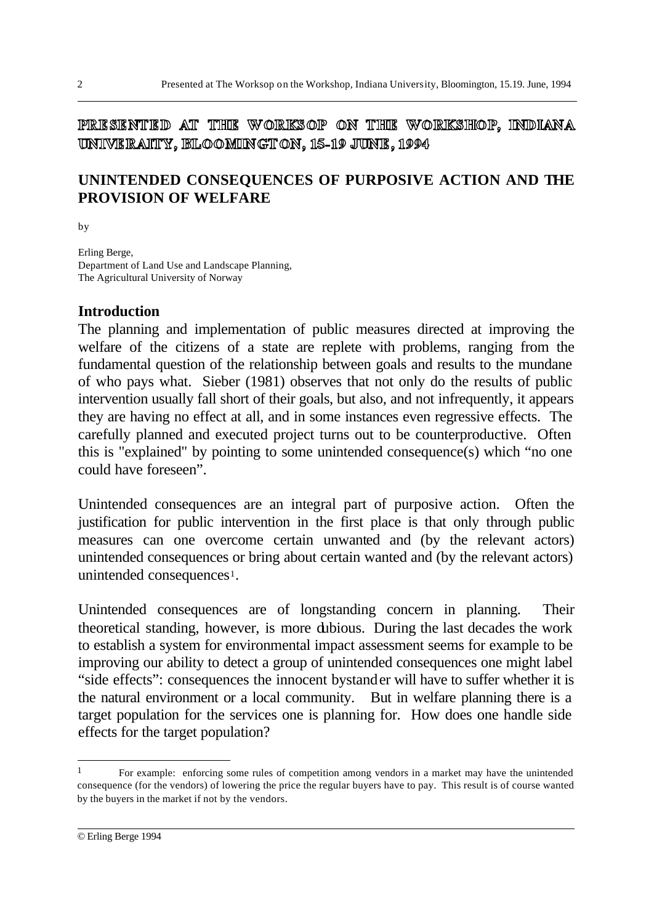PRESENTED AT THE WORKSOP ON THE WORKSHOP, INDIANA UNIVERAITY, BLOOMINGTON, 15-19 JUNE, 1994

# **UNINTENDED CONSEQUENCES OF PURPOSIVE ACTION AND THE PROVISION OF WELFARE**

by

Erling Berge, Department of Land Use and Landscape Planning, The Agricultural University of Norway

#### **Introduction**

The planning and implementation of public measures directed at improving the welfare of the citizens of a state are replete with problems, ranging from the fundamental question of the relationship between goals and results to the mundane of who pays what. Sieber (1981) observes that not only do the results of public intervention usually fall short of their goals, but also, and not infrequently, it appears they are having no effect at all, and in some instances even regressive effects. The carefully planned and executed project turns out to be counterproductive. Often this is "explained" by pointing to some unintended consequence(s) which "no one could have foreseen".

Unintended consequences are an integral part of purposive action. Often the justification for public intervention in the first place is that only through public measures can one overcome certain unwanted and (by the relevant actors) unintended consequences or bring about certain wanted and (by the relevant actors) unintended consequences<sup>1</sup>.

Unintended consequences are of longstanding concern in planning. Their theoretical standing, however, is more dubious. During the last decades the work to establish a system for environmental impact assessment seems for example to be improving our ability to detect a group of unintended consequences one might label "side effects": consequences the innocent bystander will have to suffer whether it is the natural environment or a local community. But in welfare planning there is a target population for the services one is planning for. How does one handle side effects for the target population?

<sup>1</sup> For example: enforcing some rules of competition among vendors in a market may have the unintended consequence (for the vendors) of lowering the price the regular buyers have to pay. This result is of course wanted by the buyers in the market if not by the vendors.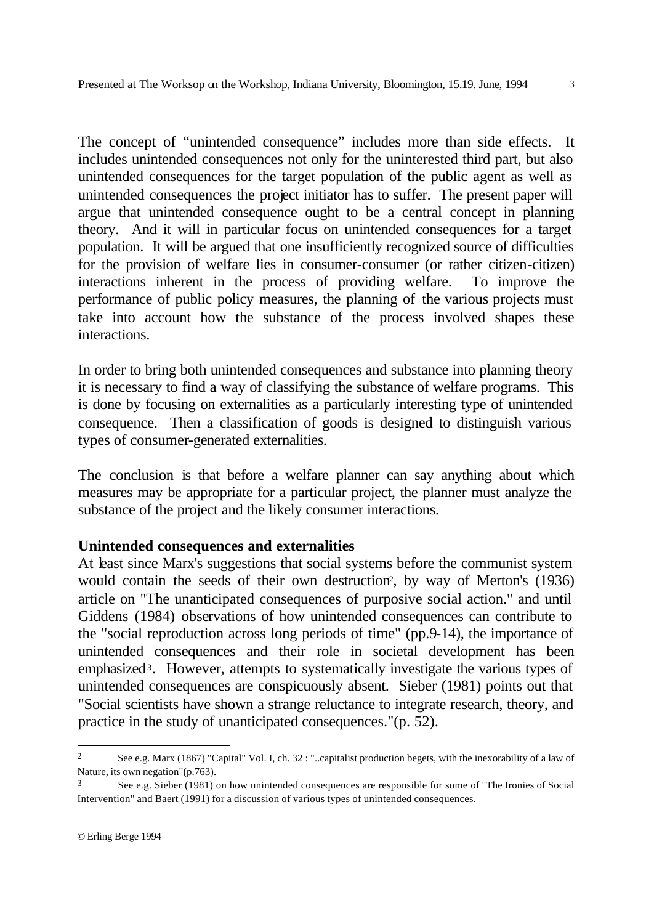The concept of "unintended consequence" includes more than side effects. It includes unintended consequences not only for the uninterested third part, but also unintended consequences for the target population of the public agent as well as unintended consequences the project initiator has to suffer. The present paper will argue that unintended consequence ought to be a central concept in planning theory. And it will in particular focus on unintended consequences for a target population. It will be argued that one insufficiently recognized source of difficulties for the provision of welfare lies in consumer-consumer (or rather citizen-citizen) interactions inherent in the process of providing welfare. To improve the performance of public policy measures, the planning of the various projects must take into account how the substance of the process involved shapes these interactions.

In order to bring both unintended consequences and substance into planning theory it is necessary to find a way of classifying the substance of welfare programs. This is done by focusing on externalities as a particularly interesting type of unintended consequence. Then a classification of goods is designed to distinguish various types of consumer-generated externalities.

The conclusion is that before a welfare planner can say anything about which measures may be appropriate for a particular project, the planner must analyze the substance of the project and the likely consumer interactions.

### **Unintended consequences and externalities**

At least since Marx's suggestions that social systems before the communist system would contain the seeds of their own destruction<sup>2</sup>, by way of Merton's (1936) article on "The unanticipated consequences of purposive social action." and until Giddens (1984) observations of how unintended consequences can contribute to the "social reproduction across long periods of time" (pp.9-14), the importance of unintended consequences and their role in societal development has been emphasized<sup>3</sup>. However, attempts to systematically investigate the various types of unintended consequences are conspicuously absent. Sieber (1981) points out that "Social scientists have shown a strange reluctance to integrate research, theory, and practice in the study of unanticipated consequences."(p. 52).

l

<sup>2</sup> See e.g. Marx (1867) "Capital" Vol. I, ch. 32 : "..capitalist production begets, with the inexorability of a law of Nature, its own negation"(p.763).

<sup>3</sup> See e.g. Sieber (1981) on how unintended consequences are responsible for some of "The Ironies of Social Intervention" and Baert (1991) for a discussion of various types of unintended consequences.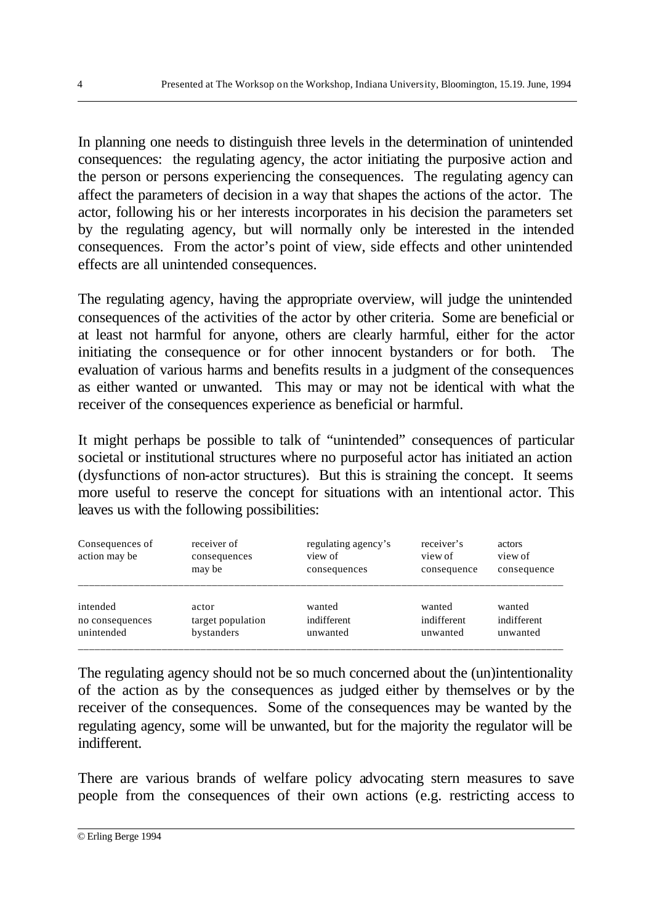In planning one needs to distinguish three levels in the determination of unintended consequences: the regulating agency, the actor initiating the purposive action and the person or persons experiencing the consequences. The regulating agency can affect the parameters of decision in a way that shapes the actions of the actor. The actor, following his or her interests incorporates in his decision the parameters set by the regulating agency, but will normally only be interested in the intended consequences. From the actor's point of view, side effects and other unintended effects are all unintended consequences.

The regulating agency, having the appropriate overview, will judge the unintended consequences of the activities of the actor by other criteria. Some are beneficial or at least not harmful for anyone, others are clearly harmful, either for the actor initiating the consequence or for other innocent bystanders or for both. The evaluation of various harms and benefits results in a judgment of the consequences as either wanted or unwanted. This may or may not be identical with what the receiver of the consequences experience as beneficial or harmful.

It might perhaps be possible to talk of "unintended" consequences of particular societal or institutional structures where no purposeful actor has initiated an action (dysfunctions of non-actor structures). But this is straining the concept. It seems more useful to reserve the concept for situations with an intentional actor. This leaves us with the following possibilities:

| Consequences of<br>action may be | receiver of<br>consequences<br>may be | regulating agency's<br>view of<br>consequences | receiver's<br>view of<br>consequence | actors<br>view of<br>consequence |
|----------------------------------|---------------------------------------|------------------------------------------------|--------------------------------------|----------------------------------|
| intended                         | actor                                 | wanted                                         | wanted                               | wanted                           |
| no consequences                  | target population                     | indifferent                                    | indifferent                          | indifferent                      |
| unintended                       | bystanders                            | unwanted                                       | unwanted                             | unwanted                         |

The regulating agency should not be so much concerned about the (un)intentionality of the action as by the consequences as judged either by themselves or by the receiver of the consequences. Some of the consequences may be wanted by the regulating agency, some will be unwanted, but for the majority the regulator will be indifferent.

There are various brands of welfare policy advocating stern measures to save people from the consequences of their own actions (e.g. restricting access to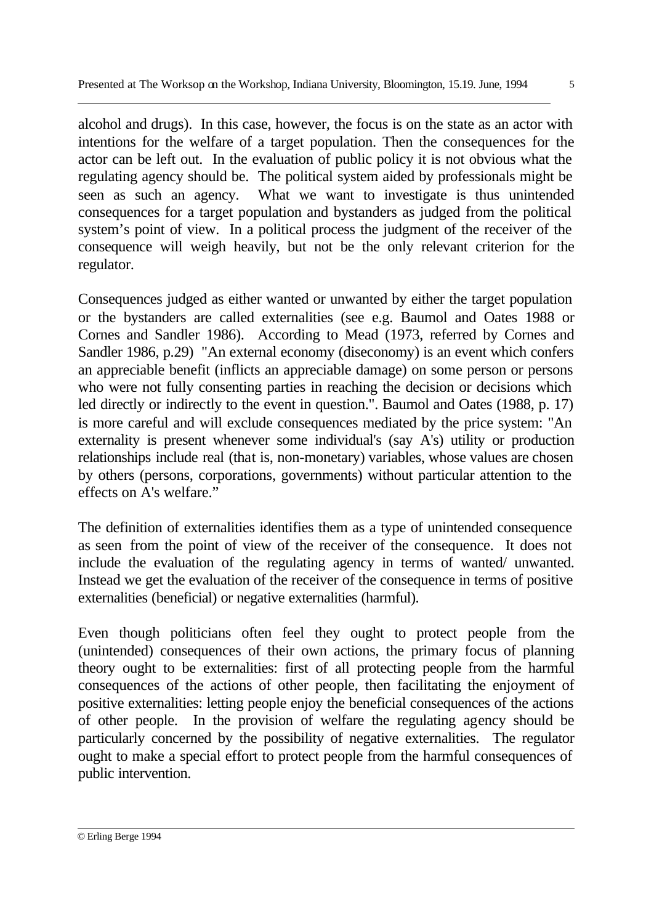alcohol and drugs). In this case, however, the focus is on the state as an actor with intentions for the welfare of a target population. Then the consequences for the actor can be left out. In the evaluation of public policy it is not obvious what the regulating agency should be. The political system aided by professionals might be seen as such an agency. What we want to investigate is thus unintended consequences for a target population and bystanders as judged from the political system's point of view. In a political process the judgment of the receiver of the consequence will weigh heavily, but not be the only relevant criterion for the regulator.

Consequences judged as either wanted or unwanted by either the target population or the bystanders are called externalities (see e.g. Baumol and Oates 1988 or Cornes and Sandler 1986). According to Mead (1973, referred by Cornes and Sandler 1986, p.29) "An external economy (diseconomy) is an event which confers an appreciable benefit (inflicts an appreciable damage) on some person or persons who were not fully consenting parties in reaching the decision or decisions which led directly or indirectly to the event in question.". Baumol and Oates (1988, p. 17) is more careful and will exclude consequences mediated by the price system: "An externality is present whenever some individual's (say A's) utility or production relationships include real (that is, non-monetary) variables, whose values are chosen by others (persons, corporations, governments) without particular attention to the effects on A's welfare."

The definition of externalities identifies them as a type of unintended consequence as seen from the point of view of the receiver of the consequence. It does not include the evaluation of the regulating agency in terms of wanted/ unwanted. Instead we get the evaluation of the receiver of the consequence in terms of positive externalities (beneficial) or negative externalities (harmful).

Even though politicians often feel they ought to protect people from the (unintended) consequences of their own actions, the primary focus of planning theory ought to be externalities: first of all protecting people from the harmful consequences of the actions of other people, then facilitating the enjoyment of positive externalities: letting people enjoy the beneficial consequences of the actions of other people. In the provision of welfare the regulating agency should be particularly concerned by the possibility of negative externalities. The regulator ought to make a special effort to protect people from the harmful consequences of public intervention.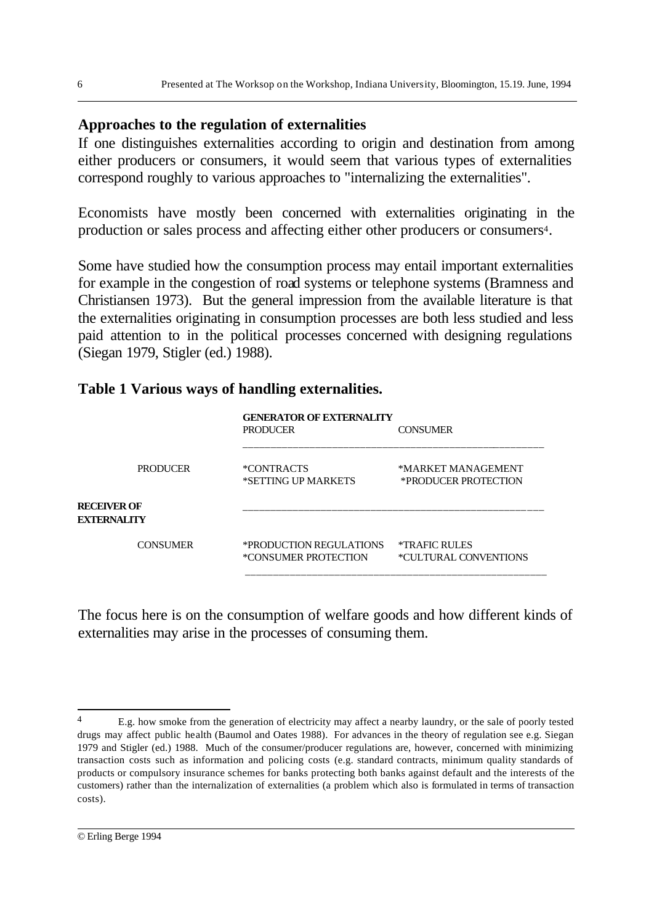#### **Approaches to the regulation of externalities**

If one distinguishes externalities according to origin and destination from among either producers or consumers, it would seem that various types of externalities correspond roughly to various approaches to "internalizing the externalities".

Economists have mostly been concerned with externalities originating in the production or sales process and affecting either other producers or consumers<sup>4</sup>.

Some have studied how the consumption process may entail important externalities for example in the congestion of road systems or telephone systems (Bramness and Christiansen 1973). But the general impression from the available literature is that the externalities originating in consumption processes are both less studied and less paid attention to in the political processes concerned with designing regulations (Siegan 1979, Stigler (ed.) 1988).

#### **Table 1 Various ways of handling externalities.**

|                                          | <b>GENERATOR OF EXTERNALITY</b><br><b>PRODUCER</b>     | <b>CONSUMER</b>                            |
|------------------------------------------|--------------------------------------------------------|--------------------------------------------|
| <b>PRODUCER</b>                          | <i><b>*CONTRACTS</b></i><br>*SETTING UP MARKETS        | *MARKET MANAGEMENT<br>*PRODUCER PROTECTION |
| <b>RECEIVER OF</b><br><b>EXTERNALITY</b> |                                                        |                                            |
| <b>CONSUMER</b>                          | *PRODUCTION REGULATIONS<br><i>*CONSUMER PROTECTION</i> | *TRAFIC RULES<br>*CULTURAL CONVENTIONS     |

The focus here is on the consumption of welfare goods and how different kinds of externalities may arise in the processes of consuming them.

<sup>4</sup> E.g. how smoke from the generation of electricity may affect a nearby laundry, or the sale of poorly tested drugs may affect public health (Baumol and Oates 1988). For advances in the theory of regulation see e.g. Siegan 1979 and Stigler (ed.) 1988. Much of the consumer/producer regulations are, however, concerned with minimizing transaction costs such as information and policing costs (e.g. standard contracts, minimum quality standards of products or compulsory insurance schemes for banks protecting both banks against default and the interests of the customers) rather than the internalization of externalities (a problem which also is formulated in terms of transaction costs).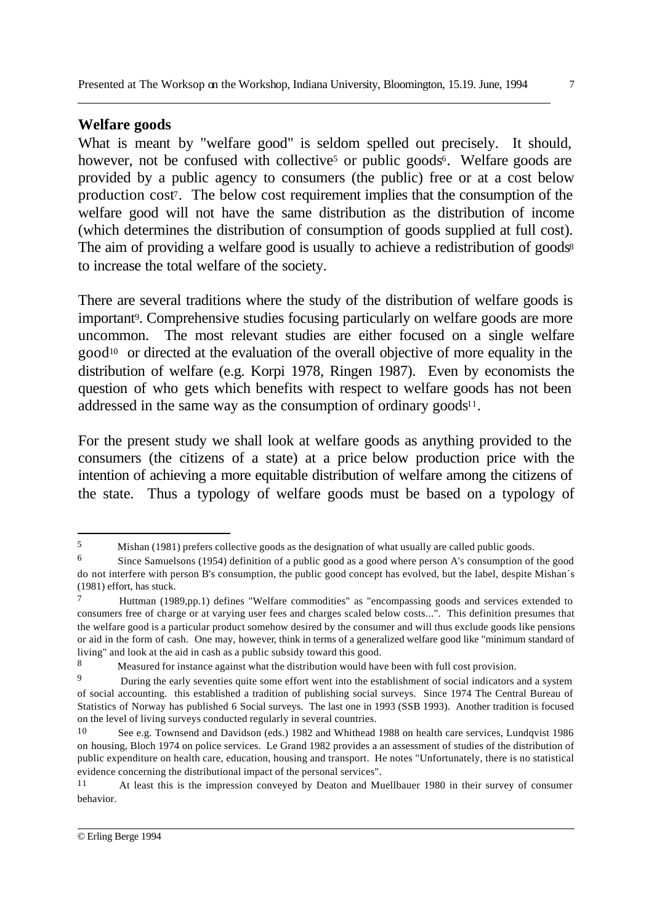### **Welfare goods**

What is meant by "welfare good" is seldom spelled out precisely. It should, however, not be confused with collective<sup>5</sup> or public goods<sup>6</sup>. Welfare goods are provided by a public agency to consumers (the public) free or at a cost below production cost7. The below cost requirement implies that the consumption of the welfare good will not have the same distribution as the distribution of income (which determines the distribution of consumption of goods supplied at full cost). The aim of providing a welfare good is usually to achieve a redistribution of goods<sup>8</sup> to increase the total welfare of the society.

There are several traditions where the study of the distribution of welfare goods is important<sup>9</sup>. Comprehensive studies focusing particularly on welfare goods are more uncommon. The most relevant studies are either focused on a single welfare good10 or directed at the evaluation of the overall objective of more equality in the distribution of welfare (e.g. Korpi 1978, Ringen 1987). Even by economists the question of who gets which benefits with respect to welfare goods has not been addressed in the same way as the consumption of ordinary goods<sup>11</sup>.

For the present study we shall look at welfare goods as anything provided to the consumers (the citizens of a state) at a price below production price with the intention of achieving a more equitable distribution of welfare among the citizens of the state. Thus a typology of welfare goods must be based on a typology of

l

<sup>5</sup> Mishan (1981) prefers collective goods as the designation of what usually are called public goods.

<sup>6</sup> Since Samuelsons (1954) definition of a public good as a good where person A's consumption of the good do not interfere with person B's consumption, the public good concept has evolved, but the label, despite Mishan´s (1981) effort, has stuck.

<sup>7</sup> Huttman (1989,pp.1) defines "Welfare commodities" as "encompassing goods and services extended to consumers free of charge or at varying user fees and charges scaled below costs...". This definition presumes that the welfare good is a particular product somehow desired by the consumer and will thus exclude goods like pensions or aid in the form of cash. One may, however, think in terms of a generalized welfare good like "minimum standard of living" and look at the aid in cash as a public subsidy toward this good.

<sup>8</sup> Measured for instance against what the distribution would have been with full cost provision.

<sup>9</sup> During the early seventies quite some effort went into the establishment of social indicators and a system of social accounting. this established a tradition of publishing social surveys. Since 1974 The Central Bureau of Statistics of Norway has published 6 Social surveys. The last one in 1993 (SSB 1993). Another tradition is focused on the level of living surveys conducted regularly in several countries.

<sup>10</sup> See e.g. Townsend and Davidson (eds.) 1982 and Whithead 1988 on health care services, Lundqvist 1986 on housing, Bloch 1974 on police services. Le Grand 1982 provides a an assessment of studies of the distribution of public expenditure on health care, education, housing and transport. He notes "Unfortunately, there is no statistical evidence concerning the distributional impact of the personal services".

<sup>11</sup> At least this is the impression conveyed by Deaton and Muellbauer 1980 in their survey of consumer behavior.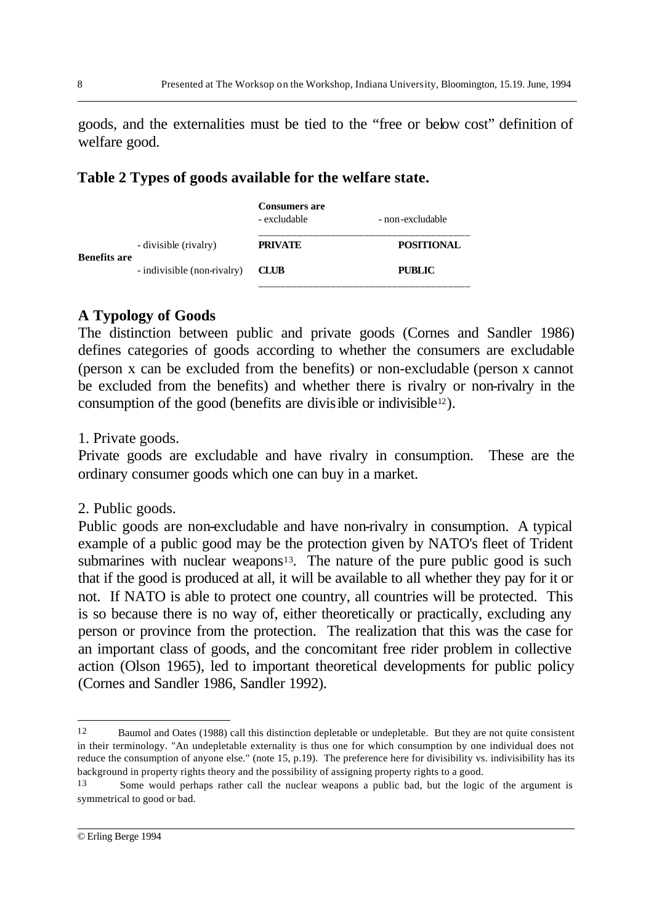goods, and the externalities must be tied to the "free or below cost" definition of welfare good.

### **Table 2 Types of goods available for the welfare state.**

|                     |                             | <b>Consumers are</b><br>- excludable | - non-excludable  |
|---------------------|-----------------------------|--------------------------------------|-------------------|
|                     | - divisible (rivalry)       | <b>PRIVATE</b>                       | <b>POSITIONAL</b> |
|                     | - indivisible (non-rivalry) | <b>CLUB</b>                          | <b>PUBLIC</b>     |
| <b>Benefits are</b> |                             |                                      |                   |

## **A Typology of Goods**

The distinction between public and private goods (Cornes and Sandler 1986) defines categories of goods according to whether the consumers are excludable (person x can be excluded from the benefits) or non-excludable (person x cannot be excluded from the benefits) and whether there is rivalry or non-rivalry in the consumption of the good (benefits are divisible or indivisible<sup>12</sup>).

### 1. Private goods.

Private goods are excludable and have rivalry in consumption. These are the ordinary consumer goods which one can buy in a market.

### 2. Public goods.

Public goods are non-excludable and have non-rivalry in consumption. A typical example of a public good may be the protection given by NATO's fleet of Trident submarines with nuclear weapons $13$ . The nature of the pure public good is such that if the good is produced at all, it will be available to all whether they pay for it or not. If NATO is able to protect one country, all countries will be protected. This is so because there is no way of, either theoretically or practically, excluding any person or province from the protection. The realization that this was the case for an important class of goods, and the concomitant free rider problem in collective action (Olson 1965), led to important theoretical developments for public policy (Cornes and Sandler 1986, Sandler 1992).

<sup>12</sup> Baumol and Oates (1988) call this distinction depletable or undepletable. But they are not quite consistent in their terminology. "An undepletable externality is thus one for which consumption by one individual does not reduce the consumption of anyone else." (note 15, p.19). The preference here for divisibility vs. indivisibility has its background in property rights theory and the possibility of assigning property rights to a good.

<sup>13</sup> Some would perhaps rather call the nuclear weapons a public bad, but the logic of the argument is symmetrical to good or bad.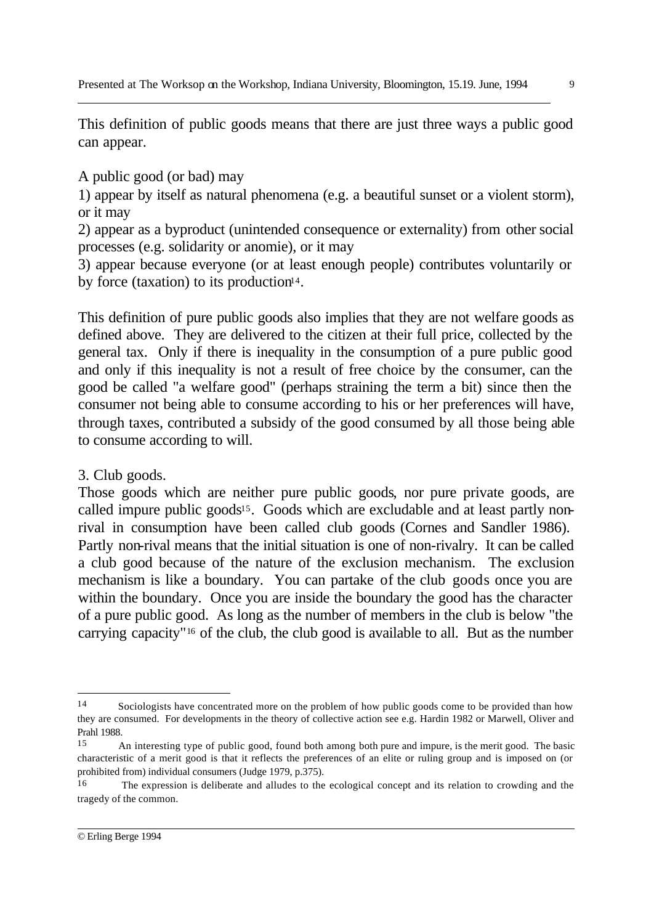This definition of public goods means that there are just three ways a public good can appear.

A public good (or bad) may

1) appear by itself as natural phenomena (e.g. a beautiful sunset or a violent storm), or it may

2) appear as a byproduct (unintended consequence or externality) from other social processes (e.g. solidarity or anomie), or it may

3) appear because everyone (or at least enough people) contributes voluntarily or by force (taxation) to its production $14$ .

This definition of pure public goods also implies that they are not welfare goods as defined above. They are delivered to the citizen at their full price, collected by the general tax. Only if there is inequality in the consumption of a pure public good and only if this inequality is not a result of free choice by the consumer, can the good be called "a welfare good" (perhaps straining the term a bit) since then the consumer not being able to consume according to his or her preferences will have, through taxes, contributed a subsidy of the good consumed by all those being able to consume according to will.

3. Club goods.

Those goods which are neither pure public goods, nor pure private goods, are called impure public goods<sup>15</sup>. Goods which are excludable and at least partly nonrival in consumption have been called club goods (Cornes and Sandler 1986). Partly non-rival means that the initial situation is one of non-rivalry. It can be called a club good because of the nature of the exclusion mechanism. The exclusion mechanism is like a boundary. You can partake of the club goods once you are within the boundary. Once you are inside the boundary the good has the character of a pure public good. As long as the number of members in the club is below "the carrying capacity"16 of the club, the club good is available to all. But as the number

l

<sup>14</sup> Sociologists have concentrated more on the problem of how public goods come to be provided than how they are consumed. For developments in the theory of collective action see e.g. Hardin 1982 or Marwell, Oliver and Prahl 1988.

<sup>15</sup> An interesting type of public good, found both among both pure and impure, is the merit good. The basic characteristic of a merit good is that it reflects the preferences of an elite or ruling group and is imposed on (or prohibited from) individual consumers (Judge 1979, p.375).

<sup>16</sup> The expression is deliberate and alludes to the ecological concept and its relation to crowding and the tragedy of the common.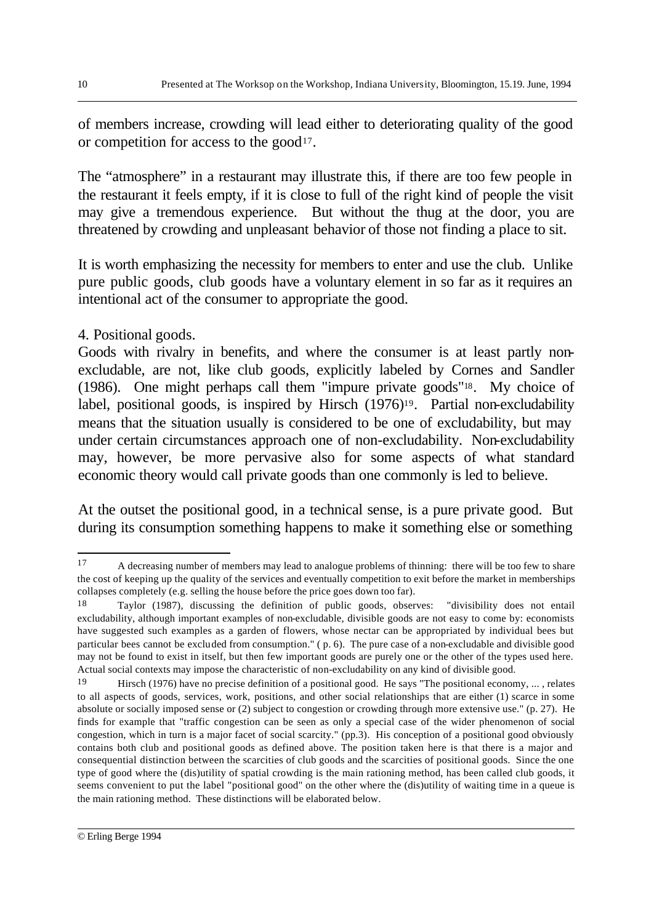of members increase, crowding will lead either to deteriorating quality of the good or competition for access to the good<sup>17</sup>.

The "atmosphere" in a restaurant may illustrate this, if there are too few people in the restaurant it feels empty, if it is close to full of the right kind of people the visit may give a tremendous experience. But without the thug at the door, you are threatened by crowding and unpleasant behavior of those not finding a place to sit.

It is worth emphasizing the necessity for members to enter and use the club. Unlike pure public goods, club goods have a voluntary element in so far as it requires an intentional act of the consumer to appropriate the good.

### 4. Positional goods.

Goods with rivalry in benefits, and where the consumer is at least partly nonexcludable, are not, like club goods, explicitly labeled by Cornes and Sandler (1986). One might perhaps call them "impure private goods"18. My choice of label, positional goods, is inspired by Hirsch (1976)<sup>19</sup>. Partial non-excludability means that the situation usually is considered to be one of excludability, but may under certain circumstances approach one of non-excludability. Non-excludability may, however, be more pervasive also for some aspects of what standard economic theory would call private goods than one commonly is led to believe.

At the outset the positional good, in a technical sense, is a pure private good. But during its consumption something happens to make it something else or something

<sup>&</sup>lt;sup>17</sup> A decreasing number of members may lead to analogue problems of thinning: there will be too few to share the cost of keeping up the quality of the services and eventually competition to exit before the market in memberships collapses completely (e.g. selling the house before the price goes down too far).

<sup>18</sup> Taylor (1987), discussing the definition of public goods, observes: "divisibility does not entail excludability, although important examples of non-excludable, divisible goods are not easy to come by: economists have suggested such examples as a garden of flowers, whose nectar can be appropriated by individual bees but particular bees cannot be excluded from consumption." ( p. 6). The pure case of a non-excludable and divisible good may not be found to exist in itself, but then few important goods are purely one or the other of the types used here. Actual social contexts may impose the characteristic of non-excludability on any kind of divisible good.

<sup>19</sup> Hirsch (1976) have no precise definition of a positional good. He says "The positional economy, ... , relates to all aspects of goods, services, work, positions, and other social relationships that are either (1) scarce in some absolute or socially imposed sense or (2) subject to congestion or crowding through more extensive use." (p. 27). He finds for example that "traffic congestion can be seen as only a special case of the wider phenomenon of social congestion, which in turn is a major facet of social scarcity." (pp.3). His conception of a positional good obviously contains both club and positional goods as defined above. The position taken here is that there is a major and consequential distinction between the scarcities of club goods and the scarcities of positional goods. Since the one type of good where the (dis)utility of spatial crowding is the main rationing method, has been called club goods, it seems convenient to put the label "positional good" on the other where the (dis)utility of waiting time in a queue is the main rationing method. These distinctions will be elaborated below.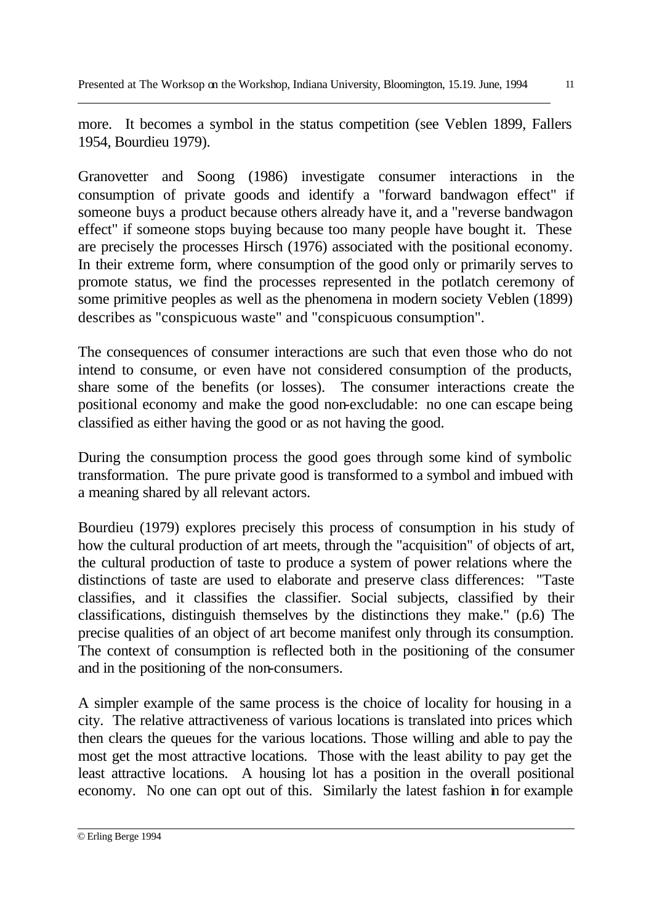more. It becomes a symbol in the status competition (see Veblen 1899, Fallers 1954, Bourdieu 1979).

Granovetter and Soong (1986) investigate consumer interactions in the consumption of private goods and identify a "forward bandwagon effect" if someone buys a product because others already have it, and a "reverse bandwagon effect" if someone stops buying because too many people have bought it. These are precisely the processes Hirsch (1976) associated with the positional economy. In their extreme form, where consumption of the good only or primarily serves to promote status, we find the processes represented in the potlatch ceremony of some primitive peoples as well as the phenomena in modern society Veblen (1899) describes as "conspicuous waste" and "conspicuous consumption".

The consequences of consumer interactions are such that even those who do not intend to consume, or even have not considered consumption of the products, share some of the benefits (or losses). The consumer interactions create the positional economy and make the good non-excludable: no one can escape being classified as either having the good or as not having the good.

During the consumption process the good goes through some kind of symbolic transformation. The pure private good is transformed to a symbol and imbued with a meaning shared by all relevant actors.

Bourdieu (1979) explores precisely this process of consumption in his study of how the cultural production of art meets, through the "acquisition" of objects of art, the cultural production of taste to produce a system of power relations where the distinctions of taste are used to elaborate and preserve class differences: "Taste classifies, and it classifies the classifier. Social subjects, classified by their classifications, distinguish themselves by the distinctions they make." (p.6) The precise qualities of an object of art become manifest only through its consumption. The context of consumption is reflected both in the positioning of the consumer and in the positioning of the non-consumers.

A simpler example of the same process is the choice of locality for housing in a city. The relative attractiveness of various locations is translated into prices which then clears the queues for the various locations. Those willing and able to pay the most get the most attractive locations. Those with the least ability to pay get the least attractive locations. A housing lot has a position in the overall positional economy. No one can opt out of this. Similarly the latest fashion in for example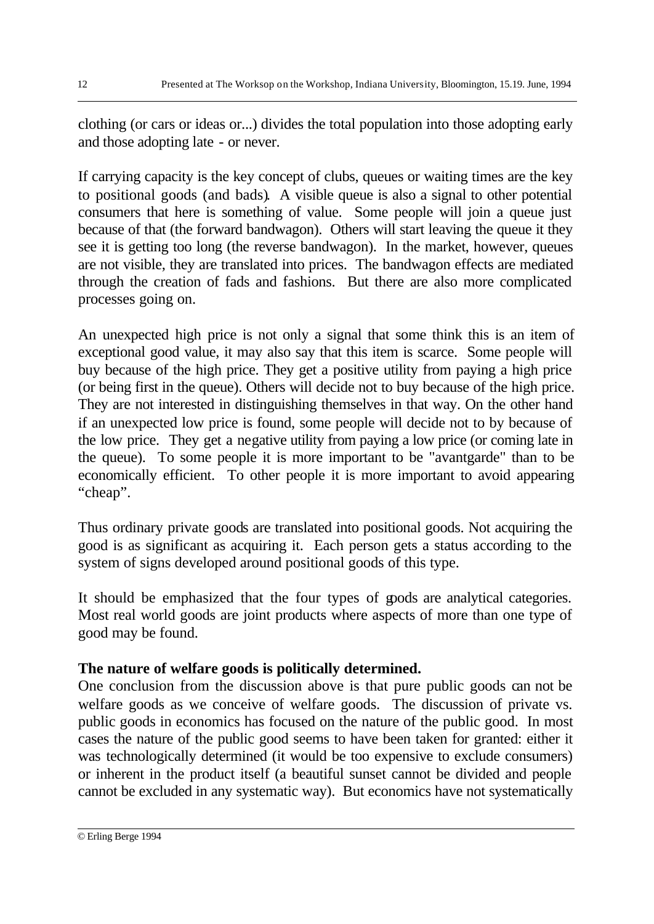clothing (or cars or ideas or...) divides the total population into those adopting early and those adopting late - or never.

If carrying capacity is the key concept of clubs, queues or waiting times are the key to positional goods (and bads). A visible queue is also a signal to other potential consumers that here is something of value. Some people will join a queue just because of that (the forward bandwagon). Others will start leaving the queue it they see it is getting too long (the reverse bandwagon). In the market, however, queues are not visible, they are translated into prices. The bandwagon effects are mediated through the creation of fads and fashions. But there are also more complicated processes going on.

An unexpected high price is not only a signal that some think this is an item of exceptional good value, it may also say that this item is scarce. Some people will buy because of the high price. They get a positive utility from paying a high price (or being first in the queue). Others will decide not to buy because of the high price. They are not interested in distinguishing themselves in that way. On the other hand if an unexpected low price is found, some people will decide not to by because of the low price. They get a negative utility from paying a low price (or coming late in the queue). To some people it is more important to be "avantgarde" than to be economically efficient. To other people it is more important to avoid appearing "cheap".

Thus ordinary private goods are translated into positional goods. Not acquiring the good is as significant as acquiring it. Each person gets a status according to the system of signs developed around positional goods of this type.

It should be emphasized that the four types of goods are analytical categories. Most real world goods are joint products where aspects of more than one type of good may be found.

## **The nature of welfare goods is politically determined.**

One conclusion from the discussion above is that pure public goods can not be welfare goods as we conceive of welfare goods. The discussion of private vs. public goods in economics has focused on the nature of the public good. In most cases the nature of the public good seems to have been taken for granted: either it was technologically determined (it would be too expensive to exclude consumers) or inherent in the product itself (a beautiful sunset cannot be divided and people cannot be excluded in any systematic way). But economics have not systematically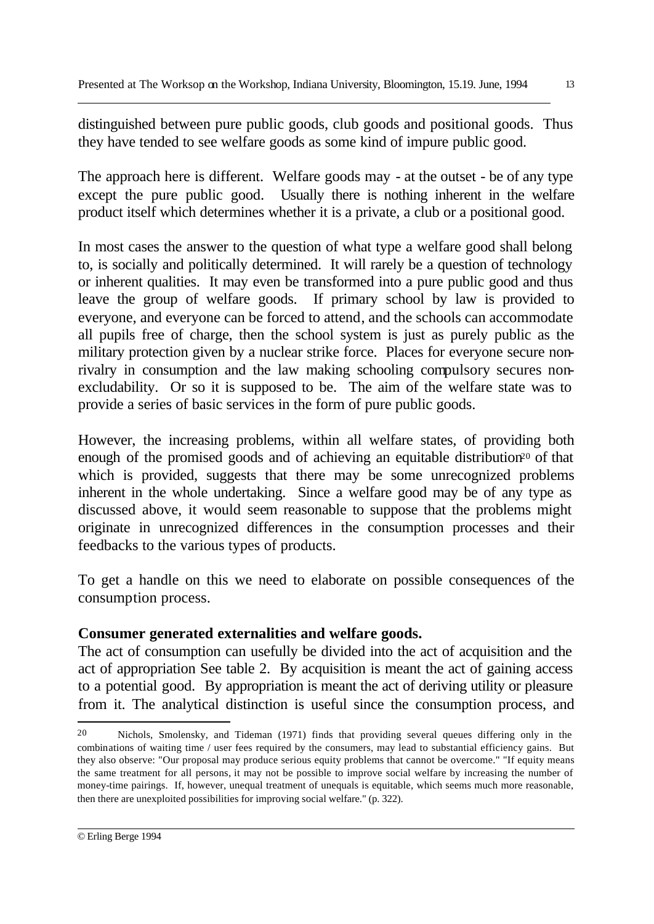distinguished between pure public goods, club goods and positional goods. Thus they have tended to see welfare goods as some kind of impure public good.

The approach here is different. Welfare goods may - at the outset - be of any type except the pure public good. Usually there is nothing inherent in the welfare product itself which determines whether it is a private, a club or a positional good.

In most cases the answer to the question of what type a welfare good shall belong to, is socially and politically determined. It will rarely be a question of technology or inherent qualities. It may even be transformed into a pure public good and thus leave the group of welfare goods. If primary school by law is provided to everyone, and everyone can be forced to attend, and the schools can accommodate all pupils free of charge, then the school system is just as purely public as the military protection given by a nuclear strike force. Places for everyone secure nonrivalry in consumption and the law making schooling compulsory secures nonexcludability. Or so it is supposed to be. The aim of the welfare state was to provide a series of basic services in the form of pure public goods.

However, the increasing problems, within all welfare states, of providing both enough of the promised goods and of achieving an equitable distribution<sup>20</sup> of that which is provided, suggests that there may be some unrecognized problems inherent in the whole undertaking. Since a welfare good may be of any type as discussed above, it would seem reasonable to suppose that the problems might originate in unrecognized differences in the consumption processes and their feedbacks to the various types of products.

To get a handle on this we need to elaborate on possible consequences of the consumption process.

## **Consumer generated externalities and welfare goods.**

The act of consumption can usefully be divided into the act of acquisition and the act of appropriation See table 2. By acquisition is meant the act of gaining access to a potential good. By appropriation is meant the act of deriving utility or pleasure from it. The analytical distinction is useful since the consumption process, and

l

<sup>20</sup> Nichols, Smolensky, and Tideman (1971) finds that providing several queues differing only in the combinations of waiting time / user fees required by the consumers, may lead to substantial efficiency gains. But they also observe: "Our proposal may produce serious equity problems that cannot be overcome." "If equity means the same treatment for all persons, it may not be possible to improve social welfare by increasing the number of money-time pairings. If, however, unequal treatment of unequals is equitable, which seems much more reasonable, then there are unexploited possibilities for improving social welfare." (p. 322).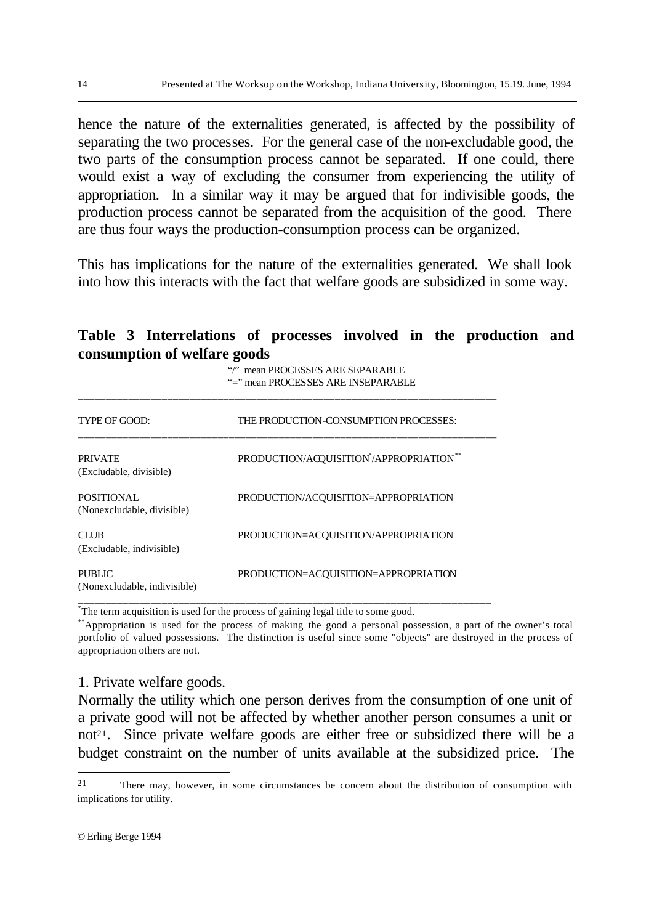hence the nature of the externalities generated, is affected by the possibility of separating the two processes. For the general case of the non-excludable good, the two parts of the consumption process cannot be separated. If one could, there would exist a way of excluding the consumer from experiencing the utility of appropriation. In a similar way it may be argued that for indivisible goods, the production process cannot be separated from the acquisition of the good. There are thus four ways the production-consumption process can be organized.

This has implications for the nature of the externalities generated. We shall look into how this interacts with the fact that welfare goods are subsidized in some way.

### **Table 3 Interrelations of processes involved in the production and consumption of welfare goods**

"/" mean PROCESSES ARE SEPARABLE "=" mean PROCESSES ARE INSEPARABLE

| TYPE OF GOOD:                                   | THE PRODUCTION-CONSUMPTION PROCESSES:                            |
|-------------------------------------------------|------------------------------------------------------------------|
| <b>PRIVATE</b><br>(Excludable, divisible)       | PRODUCTION/ACQUISITION <sup>*</sup> /APPROPRIATION <sup>**</sup> |
| <b>POSITIONAL</b><br>(Nonexcludable, divisible) | PRODUCTION/ACQUISITION=APPROPRIATION                             |
| <b>CLUB</b><br>(Excludable, indivisible)        | PRODUCTION=ACQUISITION/APPROPRIATION                             |
| PUBLIC<br>(Nonexcludable, indivisible)          | PRODUCTION=ACQUISITION=APPROPRIATION                             |

\_\_\_\_\_\_\_\_\_\_\_\_\_\_\_\_\_\_\_\_\_\_\_\_\_\_\_\_\_\_\_\_\_\_\_\_\_\_\_\_\_\_\_\_\_\_\_\_\_\_\_\_\_\_\_\_\_\_\_\_\_\_\_\_\_\_\_\_\_\_\_\_\_\_\_

\* The term acquisition is used for the process of gaining legal title to some good.

\*\*Appropriation is used for the process of making the good a personal possession, a part of the owner's total portfolio of valued possessions. The distinction is useful since some "objects" are destroyed in the process of appropriation others are not.

#### 1. Private welfare goods.

Normally the utility which one person derives from the consumption of one unit of a private good will not be affected by whether another person consumes a unit or not<sup>21</sup>. Since private welfare goods are either free or subsidized there will be a budget constraint on the number of units available at the subsidized price. The

<sup>21</sup> There may, however, in some circumstances be concern about the distribution of consumption with implications for utility.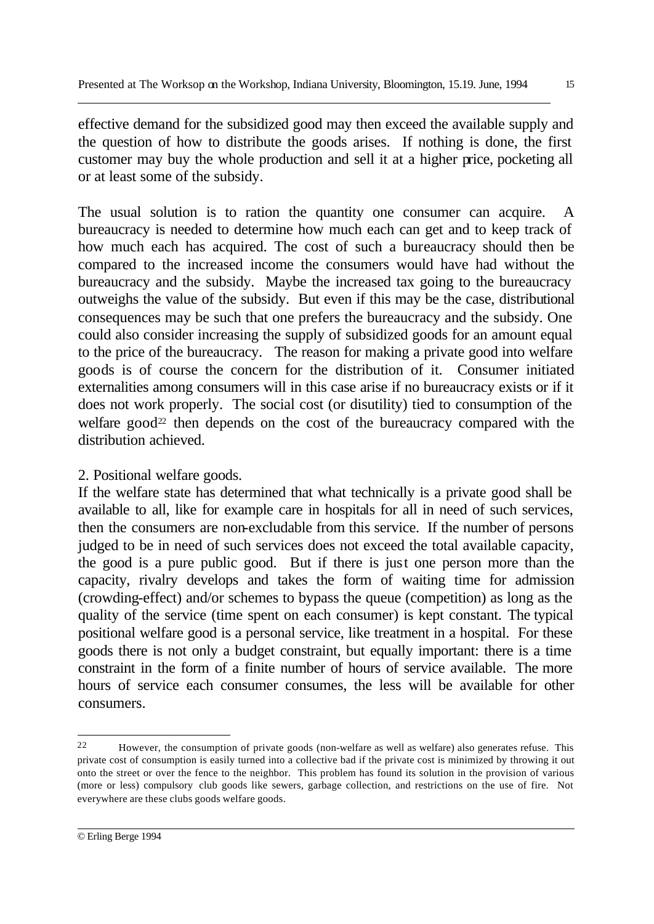effective demand for the subsidized good may then exceed the available supply and the question of how to distribute the goods arises. If nothing is done, the first customer may buy the whole production and sell it at a higher price, pocketing all or at least some of the subsidy.

The usual solution is to ration the quantity one consumer can acquire. A bureaucracy is needed to determine how much each can get and to keep track of how much each has acquired. The cost of such a bureaucracy should then be compared to the increased income the consumers would have had without the bureaucracy and the subsidy. Maybe the increased tax going to the bureaucracy outweighs the value of the subsidy. But even if this may be the case, distributional consequences may be such that one prefers the bureaucracy and the subsidy. One could also consider increasing the supply of subsidized goods for an amount equal to the price of the bureaucracy. The reason for making a private good into welfare goods is of course the concern for the distribution of it. Consumer initiated externalities among consumers will in this case arise if no bureaucracy exists or if it does not work properly. The social cost (or disutility) tied to consumption of the welfare good<sup>22</sup> then depends on the cost of the bureaucracy compared with the distribution achieved.

## 2. Positional welfare goods.

If the welfare state has determined that what technically is a private good shall be available to all, like for example care in hospitals for all in need of such services, then the consumers are non-excludable from this service. If the number of persons judged to be in need of such services does not exceed the total available capacity, the good is a pure public good. But if there is just one person more than the capacity, rivalry develops and takes the form of waiting time for admission (crowding-effect) and/or schemes to bypass the queue (competition) as long as the quality of the service (time spent on each consumer) is kept constant. The typical positional welfare good is a personal service, like treatment in a hospital. For these goods there is not only a budget constraint, but equally important: there is a time constraint in the form of a finite number of hours of service available. The more hours of service each consumer consumes, the less will be available for other consumers.

l

<sup>22</sup> However, the consumption of private goods (non-welfare as well as welfare) also generates refuse. This private cost of consumption is easily turned into a collective bad if the private cost is minimized by throwing it out onto the street or over the fence to the neighbor. This problem has found its solution in the provision of various (more or less) compulsory club goods like sewers, garbage collection, and restrictions on the use of fire. Not everywhere are these clubs goods welfare goods.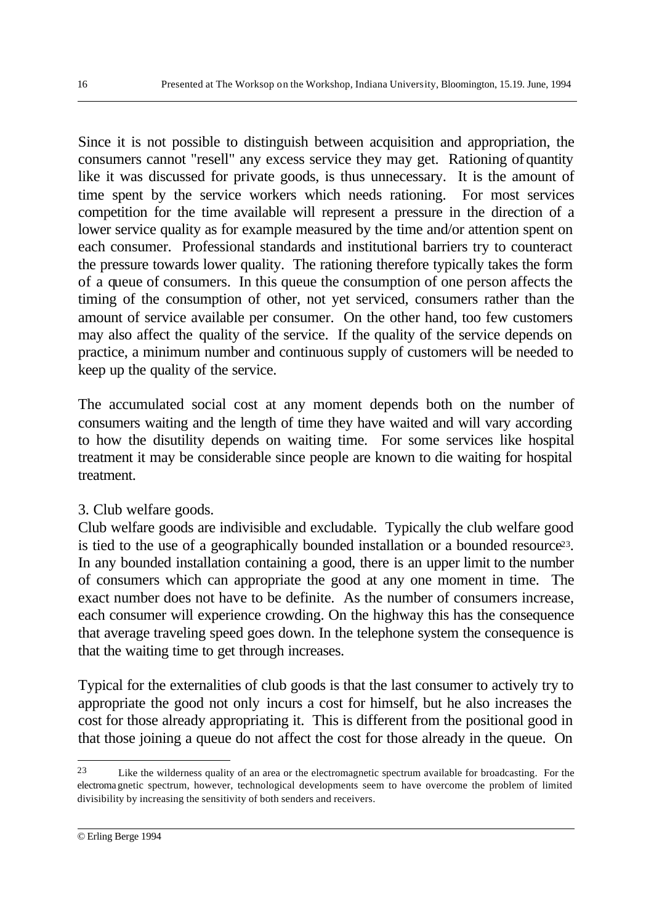Since it is not possible to distinguish between acquisition and appropriation, the consumers cannot "resell" any excess service they may get. Rationing of quantity like it was discussed for private goods, is thus unnecessary. It is the amount of time spent by the service workers which needs rationing. For most services competition for the time available will represent a pressure in the direction of a lower service quality as for example measured by the time and/or attention spent on each consumer. Professional standards and institutional barriers try to counteract the pressure towards lower quality. The rationing therefore typically takes the form of a queue of consumers. In this queue the consumption of one person affects the timing of the consumption of other, not yet serviced, consumers rather than the amount of service available per consumer. On the other hand, too few customers may also affect the quality of the service. If the quality of the service depends on practice, a minimum number and continuous supply of customers will be needed to keep up the quality of the service.

The accumulated social cost at any moment depends both on the number of consumers waiting and the length of time they have waited and will vary according to how the disutility depends on waiting time. For some services like hospital treatment it may be considerable since people are known to die waiting for hospital treatment.

### 3. Club welfare goods.

Club welfare goods are indivisible and excludable. Typically the club welfare good is tied to the use of a geographically bounded installation or a bounded resource<sup>23</sup>. In any bounded installation containing a good, there is an upper limit to the number of consumers which can appropriate the good at any one moment in time. The exact number does not have to be definite. As the number of consumers increase, each consumer will experience crowding. On the highway this has the consequence that average traveling speed goes down. In the telephone system the consequence is that the waiting time to get through increases.

Typical for the externalities of club goods is that the last consumer to actively try to appropriate the good not only incurs a cost for himself, but he also increases the cost for those already appropriating it. This is different from the positional good in that those joining a queue do not affect the cost for those already in the queue. On

<sup>23</sup> Like the wilderness quality of an area or the electromagnetic spectrum available for broadcasting. For the electroma gnetic spectrum, however, technological developments seem to have overcome the problem of limited divisibility by increasing the sensitivity of both senders and receivers.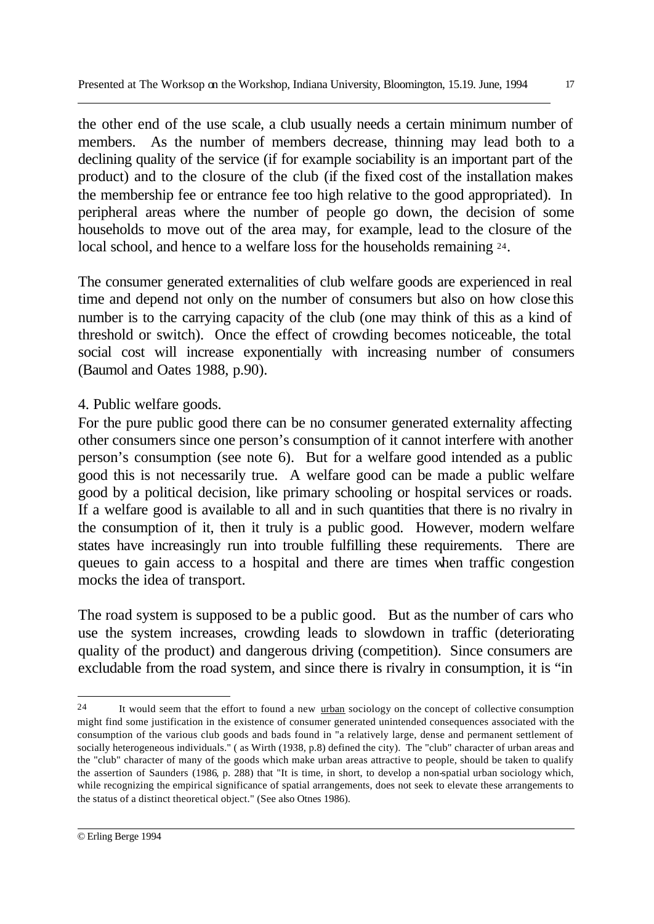the other end of the use scale, a club usually needs a certain minimum number of members. As the number of members decrease, thinning may lead both to a declining quality of the service (if for example sociability is an important part of the product) and to the closure of the club (if the fixed cost of the installation makes the membership fee or entrance fee too high relative to the good appropriated). In peripheral areas where the number of people go down, the decision of some households to move out of the area may, for example, lead to the closure of the local school, and hence to a welfare loss for the households remaining 24.

The consumer generated externalities of club welfare goods are experienced in real time and depend not only on the number of consumers but also on how close this number is to the carrying capacity of the club (one may think of this as a kind of threshold or switch). Once the effect of crowding becomes noticeable, the total social cost will increase exponentially with increasing number of consumers (Baumol and Oates 1988, p.90).

## 4. Public welfare goods.

For the pure public good there can be no consumer generated externality affecting other consumers since one person's consumption of it cannot interfere with another person's consumption (see note 6). But for a welfare good intended as a public good this is not necessarily true. A welfare good can be made a public welfare good by a political decision, like primary schooling or hospital services or roads. If a welfare good is available to all and in such quantities that there is no rivalry in the consumption of it, then it truly is a public good. However, modern welfare states have increasingly run into trouble fulfilling these requirements. There are queues to gain access to a hospital and there are times when traffic congestion mocks the idea of transport.

The road system is supposed to be a public good. But as the number of cars who use the system increases, crowding leads to slowdown in traffic (deteriorating quality of the product) and dangerous driving (competition). Since consumers are excludable from the road system, and since there is rivalry in consumption, it is "in

l

<sup>24</sup> It would seem that the effort to found a new urban sociology on the concept of collective consumption might find some justification in the existence of consumer generated unintended consequences associated with the consumption of the various club goods and bads found in "a relatively large, dense and permanent settlement of socially heterogeneous individuals." ( as Wirth (1938, p.8) defined the city). The "club" character of urban areas and the "club" character of many of the goods which make urban areas attractive to people, should be taken to qualify the assertion of Saunders (1986, p. 288) that "It is time, in short, to develop a non-spatial urban sociology which, while recognizing the empirical significance of spatial arrangements, does not seek to elevate these arrangements to the status of a distinct theoretical object." (See also Otnes 1986).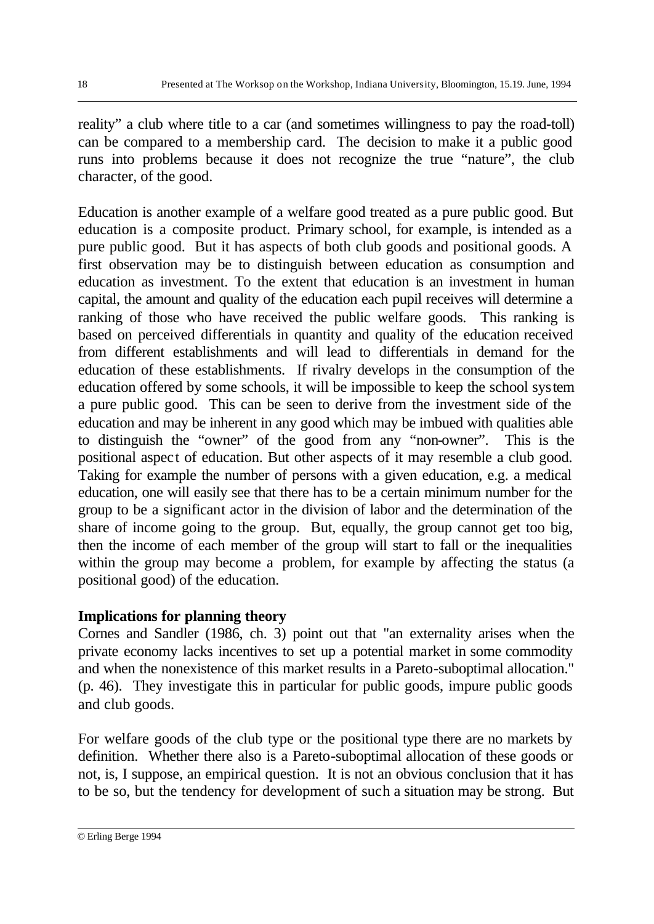reality" a club where title to a car (and sometimes willingness to pay the road-toll) can be compared to a membership card. The decision to make it a public good runs into problems because it does not recognize the true "nature", the club character, of the good.

Education is another example of a welfare good treated as a pure public good. But education is a composite product. Primary school, for example, is intended as a pure public good. But it has aspects of both club goods and positional goods. A first observation may be to distinguish between education as consumption and education as investment. To the extent that education is an investment in human capital, the amount and quality of the education each pupil receives will determine a ranking of those who have received the public welfare goods. This ranking is based on perceived differentials in quantity and quality of the education received from different establishments and will lead to differentials in demand for the education of these establishments. If rivalry develops in the consumption of the education offered by some schools, it will be impossible to keep the school system a pure public good. This can be seen to derive from the investment side of the education and may be inherent in any good which may be imbued with qualities able to distinguish the "owner" of the good from any "non-owner". This is the positional aspect of education. But other aspects of it may resemble a club good. Taking for example the number of persons with a given education, e.g. a medical education, one will easily see that there has to be a certain minimum number for the group to be a significant actor in the division of labor and the determination of the share of income going to the group. But, equally, the group cannot get too big, then the income of each member of the group will start to fall or the inequalities within the group may become a problem, for example by affecting the status (a positional good) of the education.

# **Implications for planning theory**

Cornes and Sandler (1986, ch. 3) point out that "an externality arises when the private economy lacks incentives to set up a potential market in some commodity and when the nonexistence of this market results in a Pareto-suboptimal allocation." (p. 46). They investigate this in particular for public goods, impure public goods and club goods.

For welfare goods of the club type or the positional type there are no markets by definition. Whether there also is a Pareto-suboptimal allocation of these goods or not, is, I suppose, an empirical question. It is not an obvious conclusion that it has to be so, but the tendency for development of such a situation may be strong. But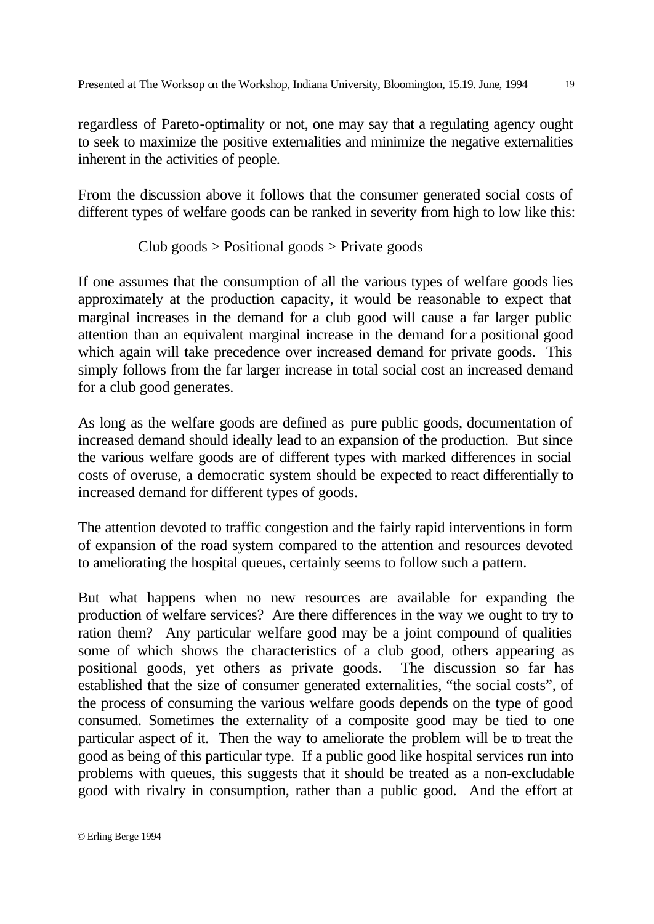regardless of Pareto-optimality or not, one may say that a regulating agency ought to seek to maximize the positive externalities and minimize the negative externalities inherent in the activities of people.

From the discussion above it follows that the consumer generated social costs of different types of welfare goods can be ranked in severity from high to low like this:

Club goods  $>$  Positional goods  $>$  Private goods

If one assumes that the consumption of all the various types of welfare goods lies approximately at the production capacity, it would be reasonable to expect that marginal increases in the demand for a club good will cause a far larger public attention than an equivalent marginal increase in the demand for a positional good which again will take precedence over increased demand for private goods. This simply follows from the far larger increase in total social cost an increased demand for a club good generates.

As long as the welfare goods are defined as pure public goods, documentation of increased demand should ideally lead to an expansion of the production. But since the various welfare goods are of different types with marked differences in social costs of overuse, a democratic system should be expected to react differentially to increased demand for different types of goods.

The attention devoted to traffic congestion and the fairly rapid interventions in form of expansion of the road system compared to the attention and resources devoted to ameliorating the hospital queues, certainly seems to follow such a pattern.

But what happens when no new resources are available for expanding the production of welfare services? Are there differences in the way we ought to try to ration them? Any particular welfare good may be a joint compound of qualities some of which shows the characteristics of a club good, others appearing as positional goods, yet others as private goods. The discussion so far has established that the size of consumer generated externalities, "the social costs", of the process of consuming the various welfare goods depends on the type of good consumed. Sometimes the externality of a composite good may be tied to one particular aspect of it. Then the way to ameliorate the problem will be to treat the good as being of this particular type. If a public good like hospital services run into problems with queues, this suggests that it should be treated as a non-excludable good with rivalry in consumption, rather than a public good. And the effort at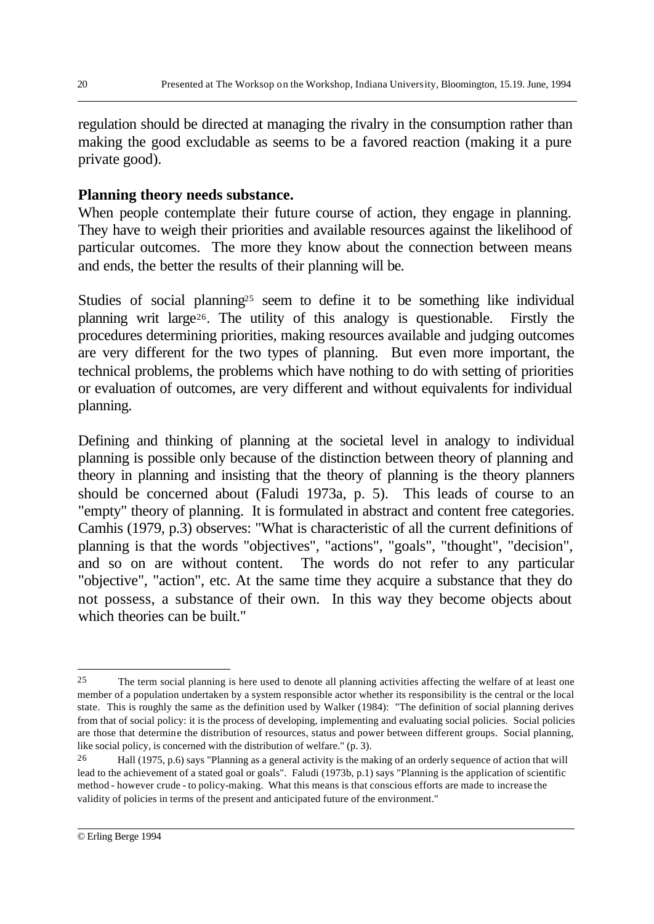regulation should be directed at managing the rivalry in the consumption rather than making the good excludable as seems to be a favored reaction (making it a pure private good).

### **Planning theory needs substance.**

When people contemplate their future course of action, they engage in planning. They have to weigh their priorities and available resources against the likelihood of particular outcomes. The more they know about the connection between means and ends, the better the results of their planning will be.

Studies of social planning<sup>25</sup> seem to define it to be something like individual planning writ large26. The utility of this analogy is questionable. Firstly the procedures determining priorities, making resources available and judging outcomes are very different for the two types of planning. But even more important, the technical problems, the problems which have nothing to do with setting of priorities or evaluation of outcomes, are very different and without equivalents for individual planning.

Defining and thinking of planning at the societal level in analogy to individual planning is possible only because of the distinction between theory of planning and theory in planning and insisting that the theory of planning is the theory planners should be concerned about (Faludi 1973a, p. 5). This leads of course to an "empty" theory of planning. It is formulated in abstract and content free categories. Camhis (1979, p.3) observes: "What is characteristic of all the current definitions of planning is that the words "objectives", "actions", "goals", "thought", "decision", and so on are without content. The words do not refer to any particular "objective", "action", etc. At the same time they acquire a substance that they do not possess, a substance of their own. In this way they become objects about which theories can be built."

<sup>25</sup> The term social planning is here used to denote all planning activities affecting the welfare of at least one member of a population undertaken by a system responsible actor whether its responsibility is the central or the local state. This is roughly the same as the definition used by Walker (1984): "The definition of social planning derives from that of social policy: it is the process of developing, implementing and evaluating social policies. Social policies are those that determine the distribution of resources, status and power between different groups. Social planning, like social policy, is concerned with the distribution of welfare." (p. 3).

<sup>26</sup> Hall (1975, p.6) says "Planning as a general activity is the making of an orderly sequence of action that will lead to the achievement of a stated goal or goals". Faludi (1973b, p.1) says "Planning is the application of scientific method - however crude - to policy-making. What this means is that conscious efforts are made to increase the validity of policies in terms of the present and anticipated future of the environment."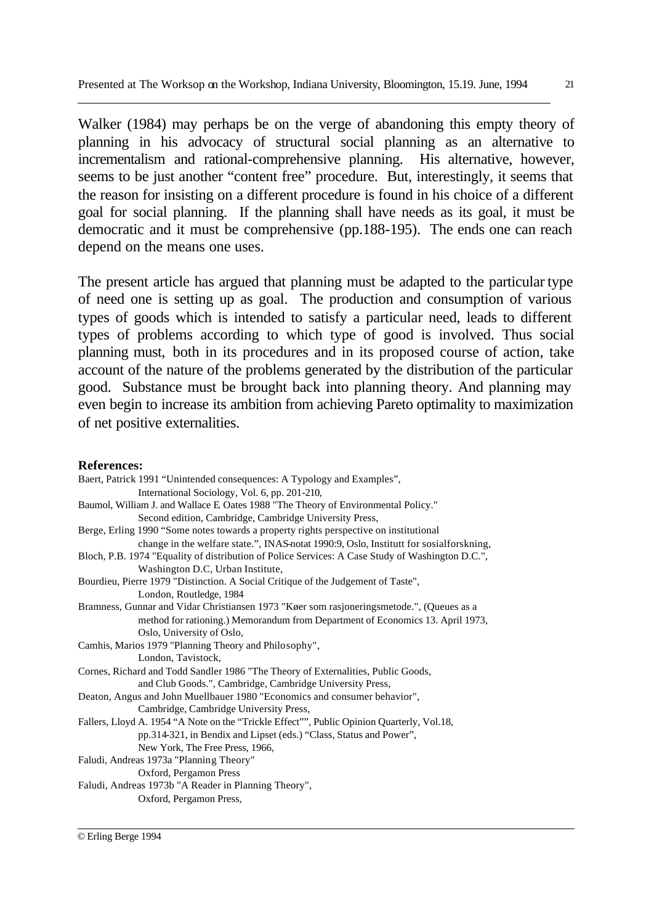Walker (1984) may perhaps be on the verge of abandoning this empty theory of planning in his advocacy of structural social planning as an alternative to incrementalism and rational-comprehensive planning. His alternative, however, seems to be just another "content free" procedure. But, interestingly, it seems that the reason for insisting on a different procedure is found in his choice of a different goal for social planning. If the planning shall have needs as its goal, it must be democratic and it must be comprehensive (pp.188-195). The ends one can reach depend on the means one uses.

The present article has argued that planning must be adapted to the particular type of need one is setting up as goal. The production and consumption of various types of goods which is intended to satisfy a particular need, leads to different types of problems according to which type of good is involved. Thus social planning must, both in its procedures and in its proposed course of action, take account of the nature of the problems generated by the distribution of the particular good. Substance must be brought back into planning theory. And planning may even begin to increase its ambition from achieving Pareto optimality to maximization of net positive externalities.

#### **References:**

| Baert, Patrick 1991 "Unintended consequences: A Typology and Examples",                          |
|--------------------------------------------------------------------------------------------------|
| International Sociology, Vol. 6, pp. 201-210,                                                    |
| Baumol, William J. and Wallace E Oates 1988 "The Theory of Environmental Policy."                |
| Second edition, Cambridge, Cambridge University Press,                                           |
| Berge, Erling 1990 "Some notes towards a property rights perspective on institutional            |
| change in the welfare state.", INAS-notat 1990:9, Oslo, Institutt for sosialforskning,           |
| Bloch, P.B. 1974 "Equality of distribution of Police Services: A Case Study of Washington D.C.", |
| Washington D.C, Urban Institute,                                                                 |
| Bourdieu, Pierre 1979 "Distinction. A Social Critique of the Judgement of Taste",                |
| London, Routledge, 1984                                                                          |
| Bramness, Gunnar and Vidar Christiansen 1973 "Køer som rasjoneringsmetode.", (Queues as a        |
| method for rationing.) Memorandum from Department of Economics 13. April 1973,                   |
| Oslo, University of Oslo,                                                                        |
| Camhis, Marios 1979 "Planning Theory and Philosophy",                                            |
| London, Tavistock,                                                                               |
| Cornes, Richard and Todd Sandler 1986 "The Theory of Externalities, Public Goods,                |
| and Club Goods.", Cambridge, Cambridge University Press,                                         |
| Deaton, Angus and John Muellbauer 1980 "Economics and consumer behavior",                        |
| Cambridge, Cambridge University Press,                                                           |
| Fallers, Lloyd A. 1954 "A Note on the "Trickle Effect"", Public Opinion Quarterly, Vol.18,       |
| pp.314-321, in Bendix and Lipset (eds.) "Class, Status and Power",                               |
| New York, The Free Press, 1966,                                                                  |
| Faludi, Andreas 1973a "Planning Theory"                                                          |
| Oxford, Pergamon Press                                                                           |
| Faludi, Andreas 1973b "A Reader in Planning Theory",                                             |
| Oxford, Pergamon Press,                                                                          |
|                                                                                                  |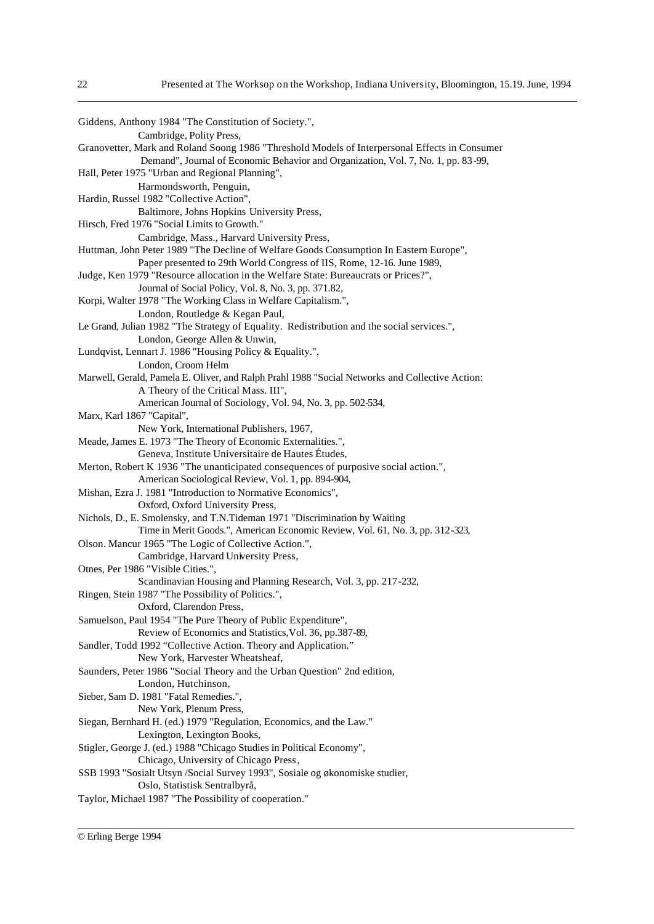| Giddens, Anthony 1984 "The Constitution of Society.",                                           |
|-------------------------------------------------------------------------------------------------|
| Cambridge, Polity Press,                                                                        |
| Granovetter, Mark and Roland Soong 1986 "Threshold Models of Interpersonal Effects in Consumer  |
| Demand", Journal of Economic Behavior and Organization, Vol. 7, No. 1, pp. 83-99,               |
| Hall, Peter 1975 "Urban and Regional Planning",                                                 |
| Harmondsworth, Penguin,                                                                         |
| Hardin, Russel 1982 "Collective Action",                                                        |
| Baltimore, Johns Hopkins University Press,                                                      |
| Hirsch, Fred 1976 "Social Limits to Growth."                                                    |
| Cambridge, Mass., Harvard University Press,                                                     |
| Huttman, John Peter 1989 "The Decline of Welfare Goods Consumption In Eastern Europe",          |
| Paper presented to 29th World Congress of IIS, Rome, 12-16. June 1989,                          |
| Judge, Ken 1979 "Resource allocation in the Welfare State: Bureaucrats or Prices?",             |
| Journal of Social Policy, Vol. 8, No. 3, pp. 371.82,                                            |
| Korpi, Walter 1978 "The Working Class in Welfare Capitalism.",                                  |
| London, Routledge & Kegan Paul,                                                                 |
| Le Grand, Julian 1982 "The Strategy of Equality. Redistribution and the social services.",      |
| London, George Allen & Unwin,                                                                   |
| Lundqvist, Lennart J. 1986 "Housing Policy & Equality.",                                        |
| London, Croom Helm                                                                              |
| Marwell, Gerald, Pamela E. Oliver, and Ralph Prahl 1988 "Social Networks and Collective Action: |
| A Theory of the Critical Mass. III",                                                            |
| American Journal of Sociology, Vol. 94, No. 3, pp. 502-534,                                     |
| Marx, Karl 1867 "Capital",                                                                      |
| New York, International Publishers, 1967,                                                       |
| Meade, James E. 1973 "The Theory of Economic Externalities.",                                   |
| Geneva, Institute Universitaire de Hautes Études,                                               |
| Merton, Robert K 1936 "The unanticipated consequences of purposive social action.",             |
| American Sociological Review, Vol. 1, pp. 894-904,                                              |
| Mishan, Ezra J. 1981 "Introduction to Normative Economics",                                     |
| Oxford, Oxford University Press,                                                                |
| Nichols, D., E. Smolensky, and T.N.Tideman 1971 "Discrimination by Waiting                      |
| Time in Merit Goods.", American Economic Review, Vol. 61, No. 3, pp. 312-323,                   |
| Olson. Mancur 1965 "The Logic of Collective Action.",                                           |
| Cambridge, Harvard University Press,                                                            |
| Otnes, Per 1986 "Visible Cities.",                                                              |
| Scandinavian Housing and Planning Research, Vol. 3, pp. 217-232,                                |
| Ringen, Stein 1987 "The Possibility of Politics.",                                              |
| Oxford, Clarendon Press,                                                                        |
| Samuelson, Paul 1954 "The Pure Theory of Public Expenditure",                                   |
| Review of Economics and Statistics, Vol. 36, pp.387-89,                                         |
| Sandler, Todd 1992 "Collective Action. Theory and Application."                                 |
| New York, Harvester Wheatsheaf,                                                                 |
| Saunders, Peter 1986 "Social Theory and the Urban Question" 2nd edition,                        |
| London, Hutchinson,                                                                             |
| Sieber, Sam D. 1981 "Fatal Remedies.",                                                          |
| New York, Plenum Press,                                                                         |
| Siegan, Bernhard H. (ed.) 1979 "Regulation, Economics, and the Law."                            |
| Lexington, Lexington Books,                                                                     |
| Stigler, George J. (ed.) 1988 "Chicago Studies in Political Economy",                           |
| Chicago, University of Chicago Press,                                                           |
| SSB 1993 "Sosialt Utsyn /Social Survey 1993", Sosiale og økonomiske studier,                    |
| Oslo, Statistisk Sentralbyrå,                                                                   |
| Taylor, Michael 1987 "The Possibility of cooperation."                                          |